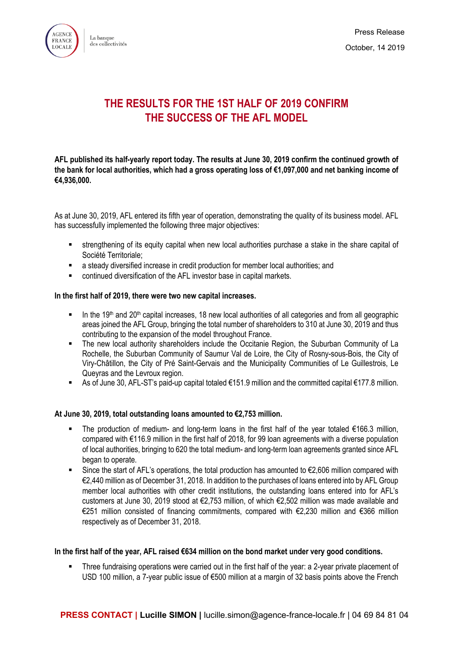

La banque des collectivités



# Press Release October, 14 2019

# **THE RESULTS FOR THE 1ST HALF OF 2019 CONFIRM THE SUCCESS OF THE AFL MODEL**

**AFL published its half-yearly report today. The results at June 30, 2019 confirm the continued growth of the bank for local authorities, which had a gross operating loss of €1,097,000 and net banking income of €4,936,000.**

As at June 30, 2019, AFL entered its fifth year of operation, demonstrating the quality of its business model. AFL has successfully implemented the following three major objectives:

- strengthening of its equity capital when new local authorities purchase a stake in the share capital of Société Territoriale;
- a steady diversified increase in credit production for member local authorities; and
- continued diversification of the AFL investor base in capital markets.

#### **In the first half of 2019, there were two new capital increases.**

- In the 19<sup>th</sup> and 20<sup>th</sup> capital increases, 18 new local authorities of all categories and from all geographic areas joined the AFL Group, bringing the total number of shareholders to 310 at June 30, 2019 and thus contributing to the expansion of the model throughout France.
- The new local authority shareholders include the Occitanie Region, the Suburban Community of La Rochelle, the Suburban Community of Saumur Val de Loire, the City of Rosny-sous-Bois, the City of Viry-Châtillon, the City of Pré Saint-Gervais and the Municipality Communities of Le Guillestrois, Le Queyras and the Levroux region.
- As of June 30, AFL-ST's paid-up capital totaled €151.9 million and the committed capital €177.8 million.

### **At June 30, 2019, total outstanding loans amounted to €2,753 million.**

- The production of medium- and long-term loans in the first half of the year totaled €166.3 million, compared with €116.9 million in the first half of 2018, for 99 loan agreements with a diverse population of local authorities, bringing to 620 the total medium- and long-term loan agreements granted since AFL began to operate.
- Since the start of AFL's operations, the total production has amounted to  $\epsilon$ 2,606 million compared with €2,440 million as of December 31, 2018. In addition to the purchases of loans entered into by AFL Group member local authorities with other credit institutions, the outstanding loans entered into for AFL's customers at June 30, 2019 stood at €2,753 million, of which €2,502 million was made available and €251 million consisted of financing commitments, compared with €2,230 million and €366 million respectively as of December 31, 2018.

### **In the first half of the year, AFL raised €634 million on the bond market under very good conditions.**

**Three fundraising operations were carried out in the first half of the year: a 2-year private placement of** USD 100 million, a 7-year public issue of €500 million at a margin of 32 basis points above the French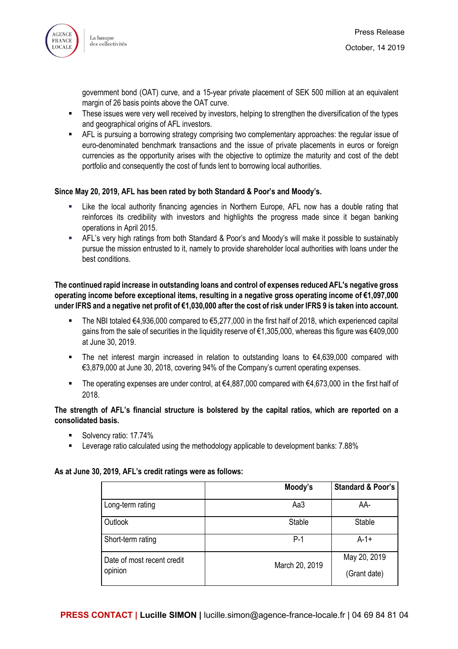



government bond (OAT) curve, and a 15-year private placement of SEK 500 million at an equivalent margin of 26 basis points above the OAT curve.

- **These issues were very well received by investors, helping to strengthen the diversification of the types** and geographical origins of AFL investors.
- AFL is pursuing a borrowing strategy comprising two complementary approaches: the regular issue of euro-denominated benchmark transactions and the issue of private placements in euros or foreign currencies as the opportunity arises with the objective to optimize the maturity and cost of the debt portfolio and consequently the cost of funds lent to borrowing local authorities.

#### **Since May 20, 2019, AFL has been rated by both Standard & Poor's and Moody's.**

- Like the local authority financing agencies in Northern Europe, AFL now has a double rating that reinforces its credibility with investors and highlights the progress made since it began banking operations in April 2015.
- AFL's very high ratings from both Standard & Poor's and Moody's will make it possible to sustainably pursue the mission entrusted to it, namely to provide shareholder local authorities with loans under the best conditions.

**The continued rapid increase in outstanding loans and control of expenses reduced AFL's negative gross operating income before exceptional items, resulting in a negative gross operating income of €1,097,000 under IFRS and a negative net profit of €1,030,000 after the cost of risk under IFRS 9 is taken into account.**

- The NBI totaled €4,936,000 compared to €5,277,000 in the first half of 2018, which experienced capital gains from the sale of securities in the liquidity reserve of €1,305,000, whereas this figure was €409,000 at June 30, 2019.
- The net interest margin increased in relation to outstanding loans to €4,639,000 compared with €3,879,000 at June 30, 2018, covering 94% of the Company's current operating expenses.
- The operating expenses are under control, at €4,887,000 compared with €4,673,000 in the first half of 2018.

#### **The strength of AFL's financial structure is bolstered by the capital ratios, which are reported on a consolidated basis.**

- Solvency ratio: 17.74%
- **EXECTED** Leverage ratio calculated using the methodology applicable to development banks: 7.88%

#### **As at June 30, 2019, AFL's credit ratings were as follows:**

|                            | Moody's        | <b>Standard &amp; Poor's</b> |
|----------------------------|----------------|------------------------------|
| Long-term rating           | Aa3            | AA-                          |
| Outlook                    | Stable         | <b>Stable</b>                |
| Short-term rating          | $P-1$          | $A-1+$                       |
| Date of most recent credit | March 20, 2019 | May 20, 2019                 |
| opinion                    |                | (Grant date)                 |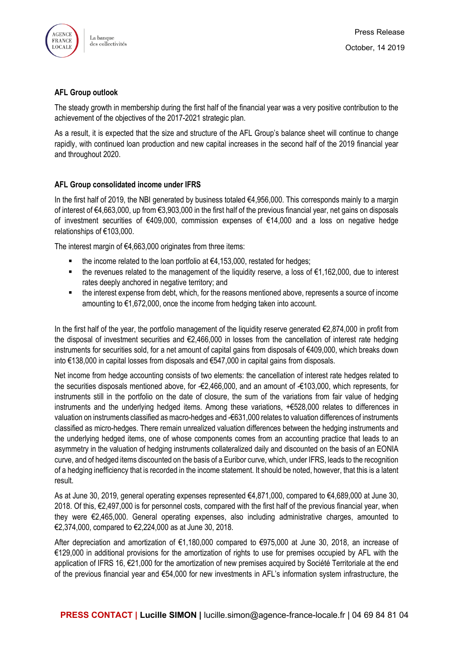

### **AFL Group outlook**

The steady growth in membership during the first half of the financial year was a very positive contribution to the achievement of the objectives of the 2017-2021 strategic plan.

As a result, it is expected that the size and structure of the AFL Group's balance sheet will continue to change rapidly, with continued loan production and new capital increases in the second half of the 2019 financial year and throughout 2020.

## **AFL Group consolidated income under IFRS**

In the first half of 2019, the NBI generated by business totaled €4,956,000. This corresponds mainly to a margin of interest of €4,663,000, up from €3,903,000 in the first half of the previous financial year, net gains on disposals of investment securities of €409,000, commission expenses of €14,000 and a loss on negative hedge relationships of €103,000.

The interest margin of €4,663,000 originates from three items:

- the income related to the loan portfolio at  $€4,153,000$ , restated for hedges;
- the revenues related to the management of the liquidity reserve, a loss of €1,162,000, due to interest rates deeply anchored in negative territory; and
- the interest expense from debt, which, for the reasons mentioned above, represents a source of income amounting to €1,672,000, once the income from hedging taken into account.

In the first half of the year, the portfolio management of the liquidity reserve generated  $\epsilon$ 2,874,000 in profit from the disposal of investment securities and €2,466,000 in losses from the cancellation of interest rate hedging instruments for securities sold, for a net amount of capital gains from disposals of €409,000, which breaks down into €138,000 in capital losses from disposals and €547,000 in capital gains from disposals.

Net income from hedge accounting consists of two elements: the cancellation of interest rate hedges related to the securities disposals mentioned above, for -€2,466,000, and an amount of -€103,000, which represents, for instruments still in the portfolio on the date of closure, the sum of the variations from fair value of hedging instruments and the underlying hedged items. Among these variations, +€528,000 relates to differences in valuation on instruments classified as macro-hedges and -€631,000 relates to valuation differences of instruments classified as micro-hedges. There remain unrealized valuation differences between the hedging instruments and the underlying hedged items, one of whose components comes from an accounting practice that leads to an asymmetry in the valuation of hedging instruments collateralized daily and discounted on the basis of an EONIA curve, and of hedged items discounted on the basis of a Euribor curve, which, under IFRS, leads to the recognition of a hedging inefficiency that is recorded in the income statement. It should be noted, however, that this is a latent result.

As at June 30, 2019, general operating expenses represented €4,871,000, compared to €4,689,000 at June 30, 2018. Of this, €2,497,000 is for personnel costs, compared with the first half of the previous financial year, when they were €2,465,000. General operating expenses, also including administrative charges, amounted to €2,374,000, compared to €2,224,000 as at June 30, 2018.

After depreciation and amortization of €1,180,000 compared to €975,000 at June 30, 2018, an increase of €129,000 in additional provisions for the amortization of rights to use for premises occupied by AFL with the application of IFRS 16, €21,000 for the amortization of new premises acquired by Société Territoriale at the end of the previous financial year and €54,000 for new investments in AFL's information system infrastructure, the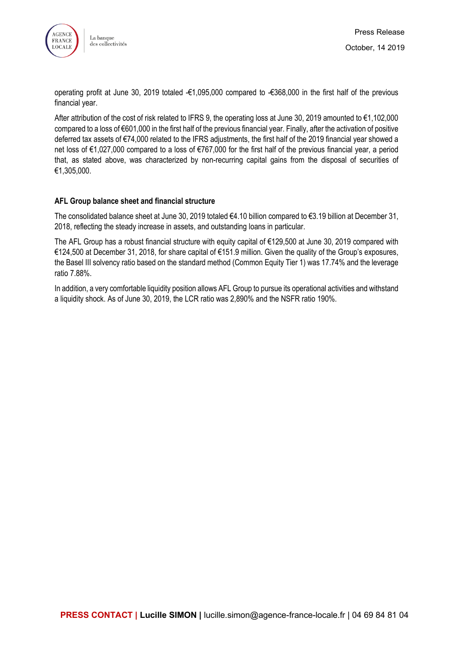



operating profit at June 30, 2019 totaled -€1,095,000 compared to -€368,000 in the first half of the previous financial year.

After attribution of the cost of risk related to IFRS 9, the operating loss at June 30, 2019 amounted to €1,102,000 compared to a loss of €601,000 in the first half of the previous financial year. Finally, after the activation of positive deferred tax assets of €74,000 related to the IFRS adjustments, the first half of the 2019 financial year showed a net loss of €1,027,000 compared to a loss of €767,000 for the first half of the previous financial year, a period that, as stated above, was characterized by non-recurring capital gains from the disposal of securities of €1,305,000.

### **AFL Group balance sheet and financial structure**

The consolidated balance sheet at June 30, 2019 totaled €4.10 billion compared to €3.19 billion at December 31, 2018, reflecting the steady increase in assets, and outstanding loans in particular.

The AFL Group has a robust financial structure with equity capital of €129,500 at June 30, 2019 compared with €124,500 at December 31, 2018, for share capital of €151.9 million. Given the quality of the Group's exposures, the Basel III solvency ratio based on the standard method (Common Equity Tier 1) was 17.74% and the leverage ratio 7.88%.

In addition, a very comfortable liquidity position allows AFL Group to pursue its operational activities and withstand a liquidity shock. As of June 30, 2019, the LCR ratio was 2,890% and the NSFR ratio 190%.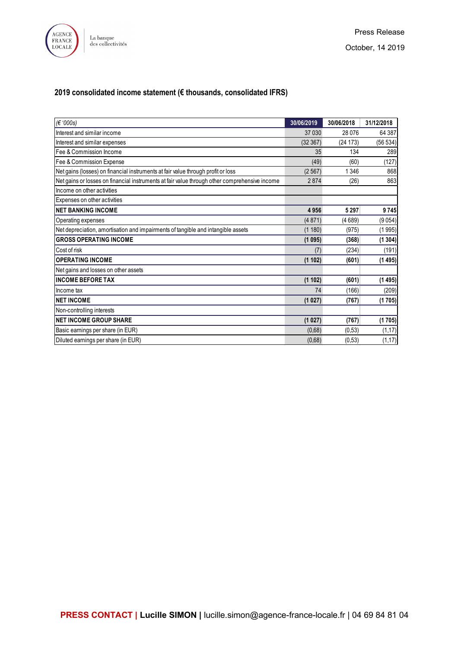

# **2019 consolidated income statement (€ thousands, consolidated IFRS)**

| (€ '000s)                                                                                     | 30/06/2019 | 30/06/2018 | 31/12/2018 |
|-----------------------------------------------------------------------------------------------|------------|------------|------------|
| Interest and similar income                                                                   | 37 030     | 28076      | 64 387     |
| Interest and similar expenses                                                                 | (32367)    | (24173)    | (56534)    |
| Fee & Commission Income                                                                       | 35         | 134        | 289        |
| Fee & Commission Expense                                                                      | (49)       | (60)       | (127)      |
| Net gains (losses) on financial instruments at fair value through profit or loss              | (2567)     | 1346       | 868        |
| Net gains or losses on financial instruments at fair value through other comprehensive income | 2874       | (26)       | 863        |
| Income on other activities                                                                    |            |            |            |
| Expenses on other activities                                                                  |            |            |            |
| <b>NET BANKING INCOME</b>                                                                     | 4956       | 5 2 9 7    | 9745       |
| Operating expenses                                                                            | (4871)     | (4689)     | (9054)     |
| Net depreciation, amortisation and impairments of tangible and intangible assets              | (1180)     | (975)      | (1995)     |
| <b>GROSS OPERATING INCOME</b>                                                                 | (1095)     | (368)      | (1304)     |
| Cost of risk                                                                                  | (7)        | (234)      | (191)      |
| <b>OPERATING INCOME</b>                                                                       | (1102)     | (601)      | (1495)     |
| Net gains and losses on other assets                                                          |            |            |            |
| <b>INCOME BEFORE TAX</b>                                                                      | (1102)     | (601)      | (1495)     |
| Income tax                                                                                    | 74         | (166)      | (209)      |
| <b>NET INCOME</b>                                                                             | (1027)     | (767)      | (1705)     |
| Non-controlling interests                                                                     |            |            |            |
| <b>INET INCOME GROUP SHARE</b>                                                                | (1027)     | (767)      | (1705)     |
| Basic earnings per share (in EUR)                                                             | (0,68)     | (0,53)     | (1, 17)    |
| Diluted earnings per share (in EUR)                                                           | (0,68)     | (0,53)     | (1, 17)    |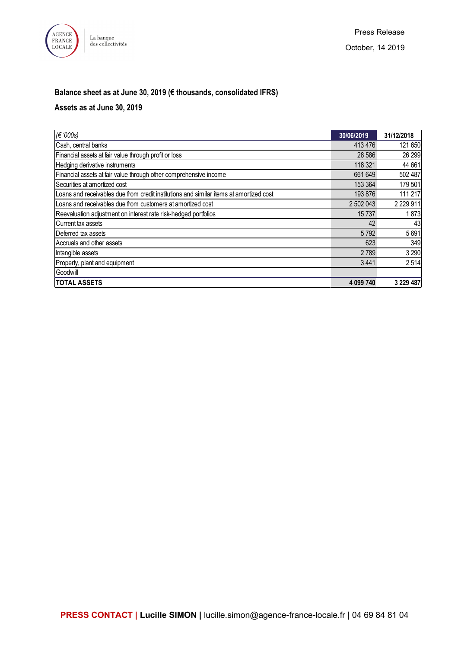

# **Balance sheet as at June 30, 2019 (€ thousands, consolidated IFRS)**

# **Assets as at June 30, 2019**

| $ \epsilon$ '000s)                                                                     | 30/06/2019 | 31/12/2018  |
|----------------------------------------------------------------------------------------|------------|-------------|
| Cash, central banks                                                                    | 413 476    | 121 650     |
| Financial assets at fair value through profit or loss                                  | 28 5 86    | 26 299      |
| Hedging derivative instruments                                                         | 118 321    | 44 661      |
| Financial assets at fair value through other comprehensive income                      | 661 649    | 502 487     |
| Securities at amortized cost                                                           | 153 364    | 179 501     |
| Loans and receivables due from credit institutions and similar items at amortized cost | 193 876    | 111 217     |
| ILoans and receivables due from customers at amortized cost                            | 2 502 043  | 2 2 2 9 1 1 |
| Reevaluation adjustment on interest rate risk-hedged portfolios                        | 15737      | 1873        |
| Current tax assets                                                                     | 42         | 43          |
| Deferred tax assets                                                                    | 5792       | 5691        |
| Accruals and other assets                                                              | 623        | 349         |
| Intangible assets                                                                      | 2789       | 3 2 9 0     |
| Property, plant and equipment                                                          | 3441       | 2514        |
| Goodwill                                                                               |            |             |
| <b>TOTAL ASSETS</b>                                                                    | 4 099 740  | 3 229 487   |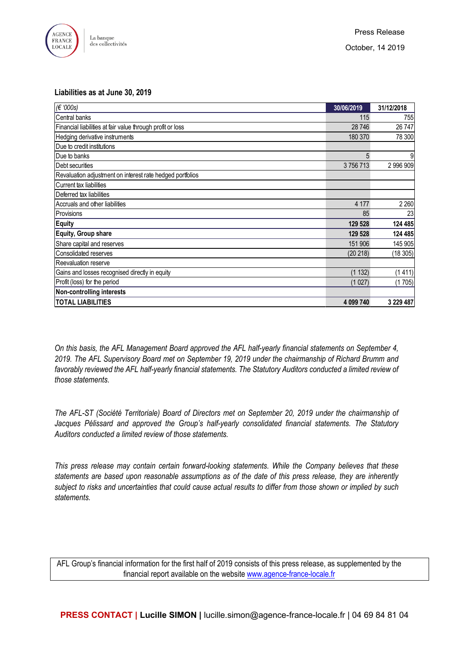

#### **Liabilities as at June 30, 2019**

| (€ '000s)                                                  | 30/06/2019 | 31/12/2018 |
|------------------------------------------------------------|------------|------------|
| Central banks                                              | 115        | 755        |
| Financial liabilities at fair value through profit or loss | 28 746     | 26747      |
| Hedging derivative instruments                             | 180 370    | 78 300     |
| Due to credit institutions                                 |            |            |
| <b>IDue to banks</b>                                       | 5          | 9          |
| <b>IDebt securities</b>                                    | 3756713    | 2 996 909  |
| Revaluation adjustment on interest rate hedged portfolios  |            |            |
| Current tax liabilities                                    |            |            |
| Deferred tax liabilities                                   |            |            |
| Accruals and other liabilities                             | 4 177      | 2 2 6 0    |
| <b>Provisions</b>                                          | 85         | 23         |
| <b>Equity</b>                                              | 129 528    | 124 485    |
| Equity, Group share                                        | 129 528    | 124 485    |
| Share capital and reserves                                 | 151 906    | 145 905    |
| Consolidated reserves                                      | (20 218)   | (18305)    |
| Reevaluation reserve                                       |            |            |
| Gains and losses recognised directly in equity             | (1 132)    | (1411)     |
| Profit (loss) for the period                               | (1027)     | (1705)     |
| <b>Non-controlling interests</b>                           |            |            |
| <b>TOTAL LIABILITIES</b>                                   | 4 099 740  | 3 229 487  |

*On this basis, the AFL Management Board approved the AFL half-yearly financial statements on September 4, 2019. The AFL Supervisory Board met on September 19, 2019 under the chairmanship of Richard Brumm and favorably reviewed the AFL half-yearly financial statements. The Statutory Auditors conducted a limited review of those statements.*

*The AFL-ST (Société Territoriale) Board of Directors met on September 20, 2019 under the chairmanship of Jacques Pélissard and approved the Group's half-yearly consolidated financial statements. The Statutory Auditors conducted a limited review of those statements.*

*This press release may contain certain forward-looking statements. While the Company believes that these statements are based upon reasonable assumptions as of the date of this press release, they are inherently subject to risks and uncertainties that could cause actual results to differ from those shown or implied by such statements.*

AFL Group's financial information for the first half of 2019 consists of this press release, as supplemented by the financial report available on the website [www.agence-france-locale.fr](http://www.agence-france-locale.fr/)